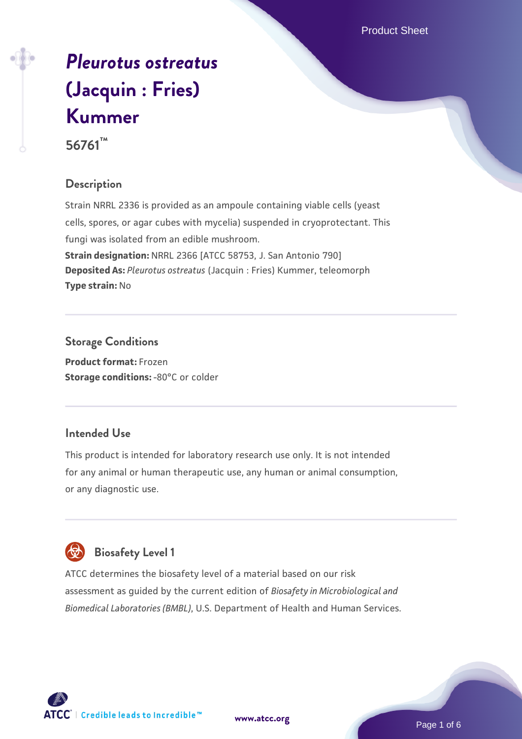Product Sheet

# *[Pleurotus ostreatus](https://www.atcc.org/products/56761)* **[\(Jacquin : Fries\)](https://www.atcc.org/products/56761) [Kummer](https://www.atcc.org/products/56761) 56761™**

## **Description**

Strain NRRL 2336 is provided as an ampoule containing viable cells (yeast cells, spores, or agar cubes with mycelia) suspended in cryoprotectant. This fungi was isolated from an edible mushroom. **Strain designation:** NRRL 2366 [ATCC 58753, J. San Antonio 790] **Deposited As:** *Pleurotus ostreatus* (Jacquin : Fries) Kummer, teleomorph **Type strain:** No

## **Storage Conditions**

**Product format:** Frozen **Storage conditions: -80°C or colder** 

## **Intended Use**

This product is intended for laboratory research use only. It is not intended for any animal or human therapeutic use, any human or animal consumption, or any diagnostic use.

## **Biosafety Level 1**

ATCC determines the biosafety level of a material based on our risk assessment as guided by the current edition of *Biosafety in Microbiological and Biomedical Laboratories (BMBL)*, U.S. Department of Health and Human Services.

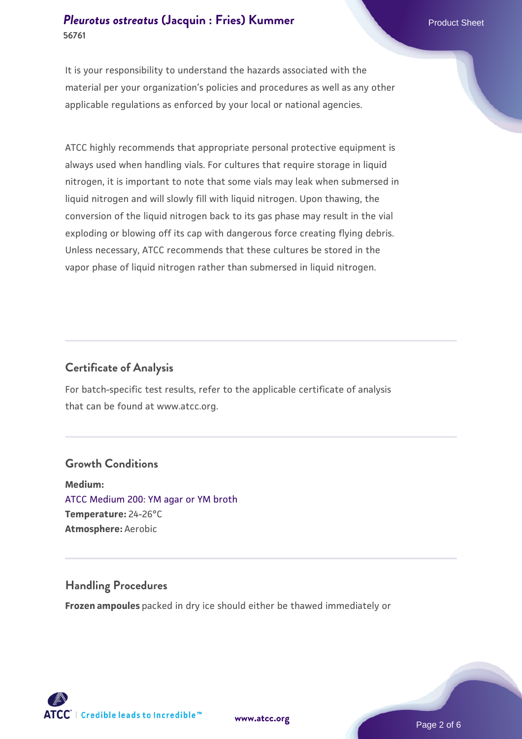#### **[Pleurotus ostreatus](https://www.atcc.org/products/56761) [\(Jacquin : Fries\) Kummer](https://www.atcc.org/products/56761)** Product Sheet **56761**

It is your responsibility to understand the hazards associated with the material per your organization's policies and procedures as well as any other applicable regulations as enforced by your local or national agencies.

ATCC highly recommends that appropriate personal protective equipment is always used when handling vials. For cultures that require storage in liquid nitrogen, it is important to note that some vials may leak when submersed in liquid nitrogen and will slowly fill with liquid nitrogen. Upon thawing, the conversion of the liquid nitrogen back to its gas phase may result in the vial exploding or blowing off its cap with dangerous force creating flying debris. Unless necessary, ATCC recommends that these cultures be stored in the vapor phase of liquid nitrogen rather than submersed in liquid nitrogen.

#### **Certificate of Analysis**

For batch-specific test results, refer to the applicable certificate of analysis that can be found at www.atcc.org.

#### **Growth Conditions**

**Medium:**  [ATCC Medium 200: YM agar or YM broth](https://www.atcc.org/-/media/product-assets/documents/microbial-media-formulations/2/0/0/atcc-medium-200.pdf?rev=ac40fd74dc13433a809367b0b9da30fc) **Temperature:** 24-26°C **Atmosphere:** Aerobic

#### **Handling Procedures**

**Frozen ampoules** packed in dry ice should either be thawed immediately or



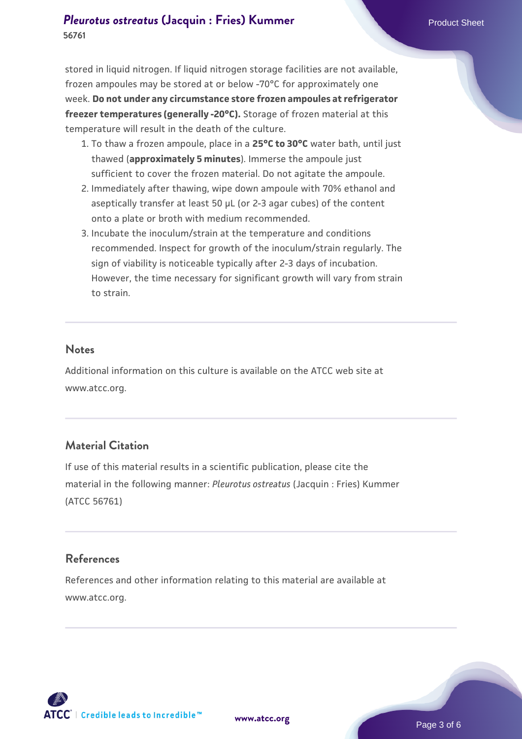## **[Pleurotus ostreatus](https://www.atcc.org/products/56761) [\(Jacquin : Fries\) Kummer](https://www.atcc.org/products/56761)** Product Sheet **56761**

stored in liquid nitrogen. If liquid nitrogen storage facilities are not available, frozen ampoules may be stored at or below -70°C for approximately one week. **Do not under any circumstance store frozen ampoules at refrigerator freezer temperatures (generally -20°C).** Storage of frozen material at this temperature will result in the death of the culture.

- 1. To thaw a frozen ampoule, place in a **25°C to 30°C** water bath, until just thawed (**approximately 5 minutes**). Immerse the ampoule just sufficient to cover the frozen material. Do not agitate the ampoule.
- 2. Immediately after thawing, wipe down ampoule with 70% ethanol and aseptically transfer at least 50 µL (or 2-3 agar cubes) of the content onto a plate or broth with medium recommended.
- Incubate the inoculum/strain at the temperature and conditions 3. recommended. Inspect for growth of the inoculum/strain regularly. The sign of viability is noticeable typically after 2-3 days of incubation. However, the time necessary for significant growth will vary from strain to strain.

#### **Notes**

Additional information on this culture is available on the ATCC web site at www.atcc.org.

#### **Material Citation**

If use of this material results in a scientific publication, please cite the material in the following manner: *Pleurotus ostreatus* (Jacquin : Fries) Kummer (ATCC 56761)

#### **References**

References and other information relating to this material are available at www.atcc.org.



**[www.atcc.org](http://www.atcc.org)**

Page 3 of 6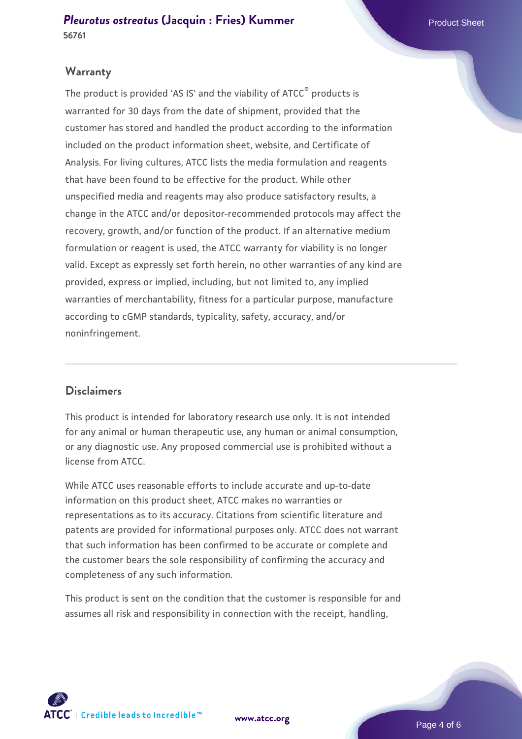#### **Warranty**

The product is provided 'AS IS' and the viability of ATCC® products is warranted for 30 days from the date of shipment, provided that the customer has stored and handled the product according to the information included on the product information sheet, website, and Certificate of Analysis. For living cultures, ATCC lists the media formulation and reagents that have been found to be effective for the product. While other unspecified media and reagents may also produce satisfactory results, a change in the ATCC and/or depositor-recommended protocols may affect the recovery, growth, and/or function of the product. If an alternative medium formulation or reagent is used, the ATCC warranty for viability is no longer valid. Except as expressly set forth herein, no other warranties of any kind are provided, express or implied, including, but not limited to, any implied warranties of merchantability, fitness for a particular purpose, manufacture according to cGMP standards, typicality, safety, accuracy, and/or noninfringement.

#### **Disclaimers**

This product is intended for laboratory research use only. It is not intended for any animal or human therapeutic use, any human or animal consumption, or any diagnostic use. Any proposed commercial use is prohibited without a license from ATCC.

While ATCC uses reasonable efforts to include accurate and up-to-date information on this product sheet, ATCC makes no warranties or representations as to its accuracy. Citations from scientific literature and patents are provided for informational purposes only. ATCC does not warrant that such information has been confirmed to be accurate or complete and the customer bears the sole responsibility of confirming the accuracy and completeness of any such information.

This product is sent on the condition that the customer is responsible for and assumes all risk and responsibility in connection with the receipt, handling,



**[www.atcc.org](http://www.atcc.org)**

Page 4 of 6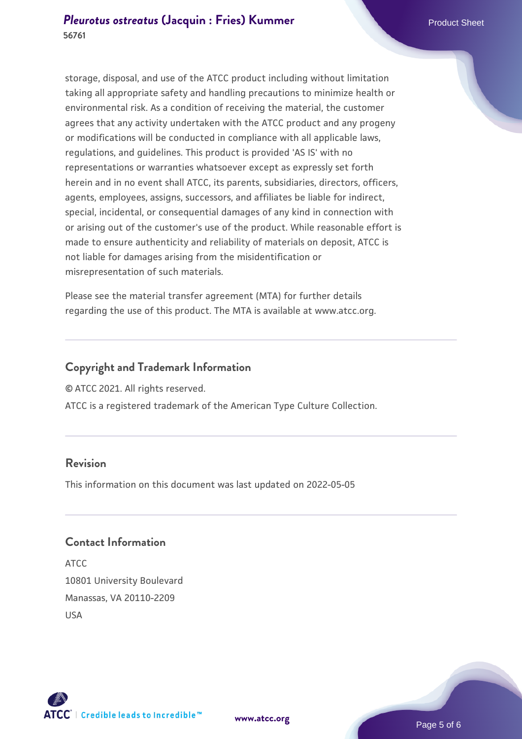storage, disposal, and use of the ATCC product including without limitation taking all appropriate safety and handling precautions to minimize health or environmental risk. As a condition of receiving the material, the customer agrees that any activity undertaken with the ATCC product and any progeny or modifications will be conducted in compliance with all applicable laws, regulations, and guidelines. This product is provided 'AS IS' with no representations or warranties whatsoever except as expressly set forth herein and in no event shall ATCC, its parents, subsidiaries, directors, officers, agents, employees, assigns, successors, and affiliates be liable for indirect, special, incidental, or consequential damages of any kind in connection with or arising out of the customer's use of the product. While reasonable effort is made to ensure authenticity and reliability of materials on deposit, ATCC is not liable for damages arising from the misidentification or misrepresentation of such materials.

Please see the material transfer agreement (MTA) for further details regarding the use of this product. The MTA is available at www.atcc.org.

### **Copyright and Trademark Information**

© ATCC 2021. All rights reserved.

ATCC is a registered trademark of the American Type Culture Collection.

## **Revision**

This information on this document was last updated on 2022-05-05

## **Contact Information**

ATCC 10801 University Boulevard Manassas, VA 20110-2209 USA